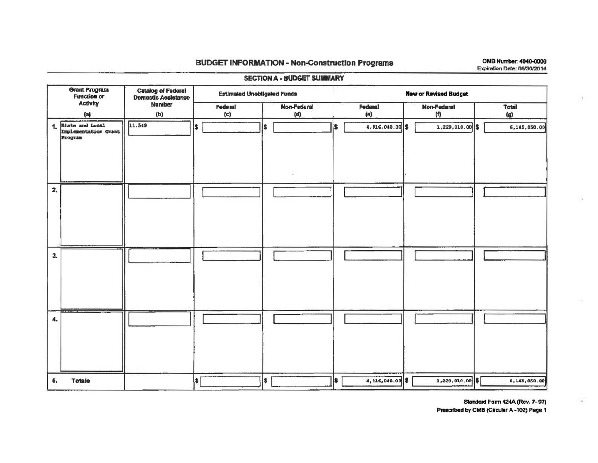## **BUDGET INFORMATION - Non-Construction Programs**

OMB Number: 4040-0006 Expiration Date: 06/30/2014

| <b>Grant Program</b><br><b>Catalog of Federal</b><br>Domestic Assistance<br><b>Function or</b> | <b>Estimated Unobligated Funds</b> |                    | <b>New or Revised Budget</b> |                           |              |  |  |  |  |
|------------------------------------------------------------------------------------------------|------------------------------------|--------------------|------------------------------|---------------------------|--------------|--|--|--|--|
| <b>Activity</b><br><b>Number</b><br>(a)<br>(b)                                                 | Federal<br>(c)                     | Non-Federal<br>(d) | Federal<br>(e)               | <b>Non-Federal</b><br>(n) | Total<br>(g) |  |  |  |  |
| State and Local<br>11.549<br>1.<br>Implementation Grant<br>Program                             | I\$                                | ls                 | 4,916,040.00 \$<br>i\$.      | 1,229,010.00 \$           | 6,145,050.00 |  |  |  |  |
| $\mathbf{z}$                                                                                   |                                    |                    |                              |                           |              |  |  |  |  |
| 3.                                                                                             |                                    |                    |                              |                           |              |  |  |  |  |
| <del>.</del><br>4.                                                                             |                                    |                    |                              |                           |              |  |  |  |  |
| <b>Totals</b><br>5.                                                                            | $\left  \text{I} \right $          | \$                 | \$<br>4,916,040.00 \$        | 1,229,010.00 \$           | 6,145,050.00 |  |  |  |  |

## **SECTION A - BUDGET SUMMARY**

Standard Form 424A (Rev. 7-97)

 $\langle \cdot \rangle$ 

Prescribed by OMB (Circular A-102) Page 1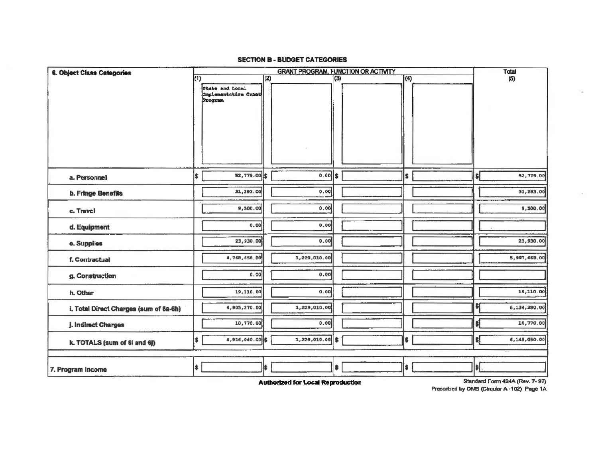## **SECTION B - BUDGET CATEGORIES**

| 6. Object Class Categories             | <b>GRANT PROGRAM, FUNCTION OR ACTIVITY</b> |                                                    |     |                 |     |  |              | <b>Total</b> |                      |                                                                 |
|----------------------------------------|--------------------------------------------|----------------------------------------------------|-----|-----------------|-----|--|--------------|--------------|----------------------|-----------------------------------------------------------------|
|                                        | (1)                                        | State and Local<br>Implementation Grant<br>Program | (2) |                 | (3) |  | $\sqrt{(4)}$ |              |                      | (5)                                                             |
| a. Personnel                           | \$                                         | 52,779.00 \$                                       |     | 0.00            | l\$ |  | \$           |              | $\blacktriangleleft$ | 52,779.00                                                       |
| <b>b. Fringe Benefits</b>              |                                            | 31,293.00                                          |     | 0.00            |     |  |              |              |                      | 31,293.00                                                       |
| c. Travel                              |                                            | 9,500.00                                           |     | 0.00            |     |  |              |              |                      | 9,500.00                                                        |
| d. Equipment                           |                                            | 0.00                                               |     | 0,00            |     |  |              |              |                      |                                                                 |
| e. Supplies                            |                                            | 23,930.00                                          |     | 0.00            |     |  |              |              |                      | 23,930.00                                                       |
| f. Contractual                         |                                            | 4,768,658.00                                       |     | 1,229,010.00    |     |  |              |              |                      | 5,997,668.00                                                    |
| g. Construction                        |                                            | 0.00                                               |     | 0.00            |     |  |              |              |                      |                                                                 |
| h. Other                               |                                            | 19,110.00                                          |     | 0.00            |     |  |              |              |                      | 19,110.00                                                       |
| i. Total Direct Charges (sum of 6a-6h) |                                            | 4,905,270.00                                       |     | 1,229,010.00    |     |  |              |              | SI.                  | 6,134,280.00                                                    |
| J. Indirect Charges                    |                                            | 10,770.00                                          |     | 0.00            |     |  |              |              | \$į                  | 10,770.00                                                       |
| k. TOTALS (sum of 6  and 6))           | ¦\$                                        | 4,916,040.00 \$                                    |     | 1,229,010.00 \$ |     |  | \$           |              | \$ļ                  | 6,145,050.00                                                    |
| 7. Program Income                      | $\left  \right.$                           |                                                    | I\$ |                 | \$  |  | l\$          | ess.         |                      | $\mathbf{H}$<br>$AAAB$ $/B$ $\rightarrow$ $B$ $B$ $\rightarrow$ |

Standard Form 424A (Rev. 7-97)

**Authorized for Local Reproduction** 

Prescribed by OMB (Circular A-102) Page 1A

 $\alpha$ 

 $\geq 5$